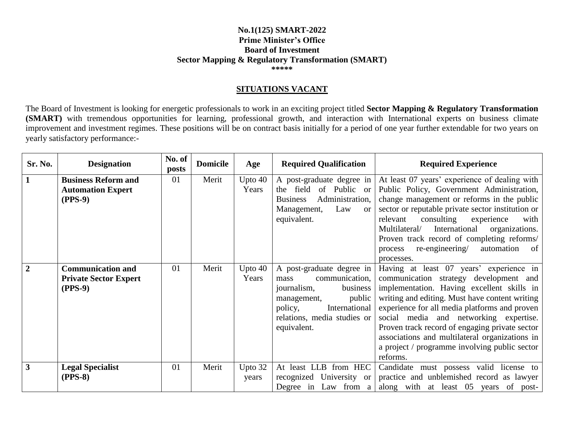## **No.1(125) SMART-2022 Prime Minister's Office Board of Investment Sector Mapping & Regulatory Transformation (SMART) \*\*\*\*\***

**SITUATIONS VACANT**

The Board of Investment is looking for energetic professionals to work in an exciting project titled **Sector Mapping & Regulatory Transformation (SMART)** with tremendous opportunities for learning, professional growth, and interaction with International experts on business climate improvement and investment regimes. These positions will be on contract basis initially for a period of one year further extendable for two years on yearly satisfactory performance:-

| Sr. No.        | <b>Designation</b>                                                         | No. of<br>posts | <b>Domicile</b> | Age              | <b>Required Qualification</b>                                                                                                                                                     | <b>Required Experience</b>                                                                                                                                                                                                                                                                                                                                                                                                                    |
|----------------|----------------------------------------------------------------------------|-----------------|-----------------|------------------|-----------------------------------------------------------------------------------------------------------------------------------------------------------------------------------|-----------------------------------------------------------------------------------------------------------------------------------------------------------------------------------------------------------------------------------------------------------------------------------------------------------------------------------------------------------------------------------------------------------------------------------------------|
| $\mathbf{1}$   | <b>Business Reform and</b><br><b>Automation Expert</b><br><b>(PPS-9)</b>   | 01              | Merit           | Upto 40<br>Years | A post-graduate degree in<br>field<br>of Public or<br>the<br>Administration,<br><b>Business</b><br>Management,<br>Law<br>$\alpha$<br>equivalent.                                  | At least 07 years' experience of dealing with<br>Public Policy, Government Administration,<br>change management or reforms in the public<br>sector or reputable private sector institution or<br>consulting<br>experience<br>relevant<br>with<br>Multilateral/<br>International<br>organizations.<br>Proven track record of completing reforms/<br>re-engineering/<br>automation<br>of<br>process<br>processes.                               |
| $\overline{2}$ | <b>Communication and</b><br><b>Private Sector Expert</b><br><b>(PPS-9)</b> | 01              | Merit           | Upto 40<br>Years | A post-graduate degree in<br>communication,<br>mass<br>journalism,<br>business<br>public<br>management,<br>International<br>policy,<br>relations, media studies or<br>equivalent. | Having at least 07 years' experience in<br>communication strategy development and<br>implementation. Having excellent skills in<br>writing and editing. Must have content writing<br>experience for all media platforms and proven<br>social media and networking expertise.<br>Proven track record of engaging private sector<br>associations and multilateral organizations in<br>a project / programme involving public sector<br>reforms. |
| $\overline{3}$ | <b>Legal Specialist</b><br>$(PPS-8)$                                       | 01              | Merit           | Upto 32<br>years | At least LLB from HEC<br>University<br>recognized<br><sub>or</sub><br>Degree in Law from a                                                                                        | Candidate must possess valid license to<br>practice and unblemished record as lawyer<br>along with at least 05 years of post-                                                                                                                                                                                                                                                                                                                 |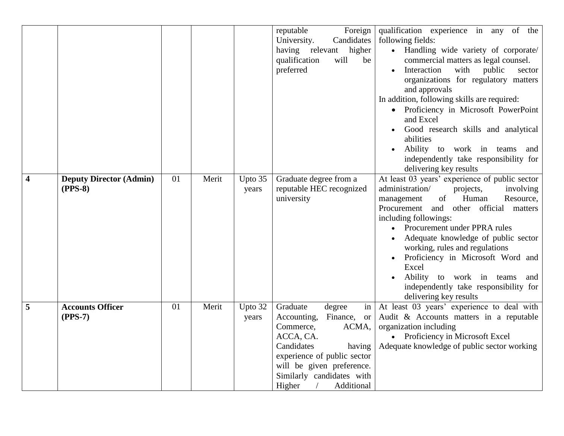|                         |                                             |    |       |                  | reputable<br>Foreign<br>Candidates<br>University.<br>higher<br>having relevant<br>will<br>qualification<br>be<br>preferred                                                                                                         | qualification experience in any of the<br>following fields:<br>• Handling wide variety of corporate/<br>commercial matters as legal counsel.<br>Interaction<br>with<br>public<br>sector<br>organizations for regulatory matters<br>and approvals<br>In addition, following skills are required:<br>• Proficiency in Microsoft PowerPoint<br>and Excel<br>Good research skills and analytical<br>abilities<br>Ability to work in teams<br>and<br>independently take responsibility for<br>delivering key results |
|-------------------------|---------------------------------------------|----|-------|------------------|------------------------------------------------------------------------------------------------------------------------------------------------------------------------------------------------------------------------------------|-----------------------------------------------------------------------------------------------------------------------------------------------------------------------------------------------------------------------------------------------------------------------------------------------------------------------------------------------------------------------------------------------------------------------------------------------------------------------------------------------------------------|
| $\overline{\mathbf{4}}$ | <b>Deputy Director (Admin)</b><br>$(PPS-8)$ | 01 | Merit | Upto 35<br>years | Graduate degree from a<br>reputable HEC recognized<br>university                                                                                                                                                                   | At least 03 years' experience of public sector<br>administration/<br>projects,<br>involving<br>Human<br>of<br>Resource,<br>management<br>Procurement and<br>other official matters<br>including followings:<br>• Procurement under PPRA rules<br>Adequate knowledge of public sector<br>working, rules and regulations<br>Proficiency in Microsoft Word and<br>Excel<br>Ability to work in teams<br>and<br>independently take responsibility for<br>delivering key results                                      |
| 5                       | <b>Accounts Officer</b><br>$(PPS-7)$        | 01 | Merit | Upto 32<br>years | Graduate<br>degree<br>in<br>Accounting,<br>Finance, or<br>Commerce,<br>ACMA,<br>ACCA, CA.<br>Candidates<br>having<br>experience of public sector<br>will be given preference.<br>Similarly candidates with<br>Additional<br>Higher | At least 03 years' experience to deal with<br>Audit & Accounts matters in a reputable<br>organization including<br>• Proficiency in Microsoft Excel<br>Adequate knowledge of public sector working                                                                                                                                                                                                                                                                                                              |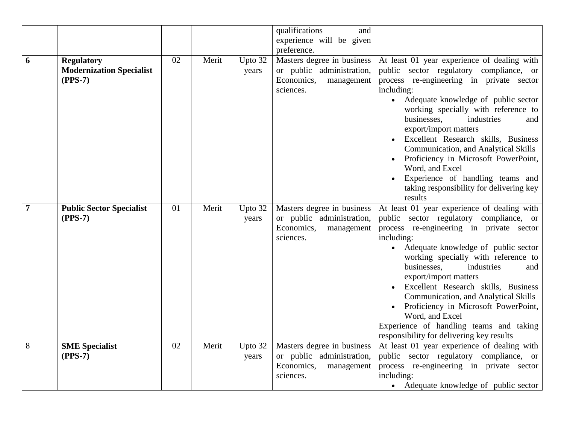|                |                                                                   |    |       |                  | qualifications<br>and<br>experience will be given                                                |                                                                                                                                                                                                                                                                                                                                                                                                                                                                                                                                            |
|----------------|-------------------------------------------------------------------|----|-------|------------------|--------------------------------------------------------------------------------------------------|--------------------------------------------------------------------------------------------------------------------------------------------------------------------------------------------------------------------------------------------------------------------------------------------------------------------------------------------------------------------------------------------------------------------------------------------------------------------------------------------------------------------------------------------|
|                |                                                                   |    |       |                  | preference.                                                                                      |                                                                                                                                                                                                                                                                                                                                                                                                                                                                                                                                            |
| 6              | <b>Regulatory</b><br><b>Modernization Specialist</b><br>$(PPS-7)$ | 02 | Merit | Upto 32<br>years | Masters degree in business<br>or public administration,<br>Economics,<br>management<br>sciences. | At least 01 year experience of dealing with<br>public sector regulatory compliance, or<br>process re-engineering in private sector<br>including:<br>• Adequate knowledge of public sector<br>working specially with reference to<br>businesses,<br>industries<br>and<br>export/import matters<br>Excellent Research skills, Business<br>Communication, and Analytical Skills<br>Proficiency in Microsoft PowerPoint,<br>Word, and Excel<br>Experience of handling teams and<br>taking responsibility for delivering key                    |
| $\overline{7}$ | <b>Public Sector Specialist</b><br>$(PPS-7)$                      | 01 | Merit | Upto 32<br>years | Masters degree in business<br>or public administration,<br>Economics,<br>management<br>sciences. | results<br>At least 01 year experience of dealing with<br>public sector regulatory compliance, or<br>process re-engineering in private sector<br>including:<br>• Adequate knowledge of public sector<br>working specially with reference to<br>businesses,<br>industries<br>and<br>export/import matters<br>Excellent Research skills, Business<br>Communication, and Analytical Skills<br>Proficiency in Microsoft PowerPoint,<br>Word, and Excel<br>Experience of handling teams and taking<br>responsibility for delivering key results |
| 8              | <b>SME</b> Specialist<br>$(PPS-7)$                                | 02 | Merit | Upto 32<br>years | Masters degree in business<br>or public administration,<br>Economics,<br>management<br>sciences. | At least 01 year experience of dealing with<br>public sector regulatory compliance, or<br>process re-engineering in private sector<br>including:<br>• Adequate knowledge of public sector                                                                                                                                                                                                                                                                                                                                                  |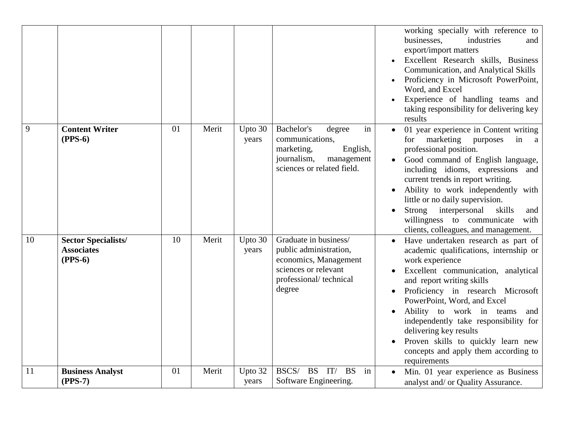|    |                                                              |    |       |                  |                                                                                                                                      | working specially with reference to<br>businesses,<br>industries<br>and<br>export/import matters<br>Excellent Research skills, Business<br>Communication, and Analytical Skills<br>Proficiency in Microsoft PowerPoint,<br>Word, and Excel<br>Experience of handling teams and<br>taking responsibility for delivering key<br>results                                                                                                     |
|----|--------------------------------------------------------------|----|-------|------------------|--------------------------------------------------------------------------------------------------------------------------------------|-------------------------------------------------------------------------------------------------------------------------------------------------------------------------------------------------------------------------------------------------------------------------------------------------------------------------------------------------------------------------------------------------------------------------------------------|
| 9  | <b>Content Writer</b><br>$(PPS-6)$                           | 01 | Merit | Upto 30<br>years | Bachelor's<br>degree<br>in<br>communications,<br>marketing,<br>English,<br>journalism,<br>management<br>sciences or related field.   | 01 year experience in Content writing<br>marketing purposes<br>for<br>in<br>a a<br>professional position.<br>Good command of English language,<br>including idioms, expressions and<br>current trends in report writing.<br>Ability to work independently with<br>little or no daily supervision.<br>Strong<br>interpersonal<br>skills<br>and<br>willingness to communicate<br>with<br>clients, colleagues, and management.               |
| 10 | <b>Sector Specialists/</b><br><b>Associates</b><br>$(PPS-6)$ | 10 | Merit | Upto 30<br>years | Graduate in business/<br>public administration,<br>economics, Management<br>sciences or relevant<br>professional/technical<br>degree | Have undertaken research as part of<br>academic qualifications, internship or<br>work experience<br>Excellent communication, analytical<br>and report writing skills<br>Proficiency in research Microsoft<br>PowerPoint, Word, and Excel<br>Ability to work in teams and<br>independently take responsibility for<br>delivering key results<br>Proven skills to quickly learn new<br>concepts and apply them according to<br>requirements |
| 11 | <b>Business Analyst</b><br>$(PPS-7)$                         | 01 | Merit | Upto 32<br>years | BSCS/ BS IT/ BS<br>in<br>Software Engineering.                                                                                       | Min. 01 year experience as Business<br>analyst and/ or Quality Assurance.                                                                                                                                                                                                                                                                                                                                                                 |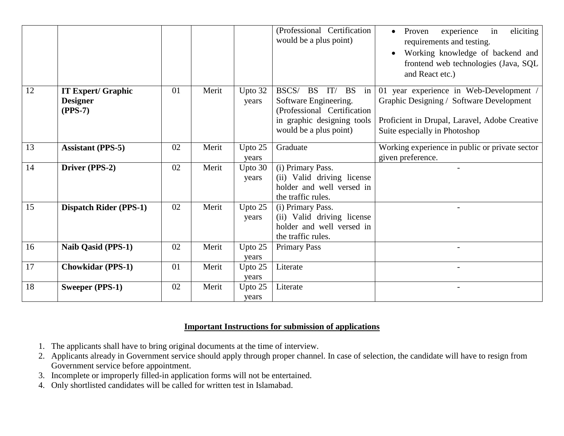|    |                                                           |    |       |                    | (Professional Certification<br>would be a plus point)                                                                                              | in<br>eliciting<br>experience<br>• Proven<br>requirements and testing.<br>Working knowledge of backend and<br>frontend web technologies (Java, SQL<br>and React etc.) |
|----|-----------------------------------------------------------|----|-------|--------------------|----------------------------------------------------------------------------------------------------------------------------------------------------|-----------------------------------------------------------------------------------------------------------------------------------------------------------------------|
| 12 | <b>IT Expert/ Graphic</b><br><b>Designer</b><br>$(PPS-7)$ | 01 | Merit | Upto 32<br>years   | BSCS/<br><b>BS</b><br>IT/ BS<br>in<br>Software Engineering.<br>(Professional Certification<br>in graphic designing tools<br>would be a plus point) | 01 year experience in Web-Development<br>Graphic Designing / Software Development<br>Proficient in Drupal, Laravel, Adobe Creative<br>Suite especially in Photoshop   |
| 13 | <b>Assistant (PPS-5)</b>                                  | 02 | Merit | Upto $25$<br>years | Graduate                                                                                                                                           | Working experience in public or private sector<br>given preference.                                                                                                   |
| 14 | Driver (PPS-2)                                            | 02 | Merit | Upto 30<br>years   | (i) Primary Pass.<br>(ii) Valid driving license<br>holder and well versed in<br>the traffic rules.                                                 |                                                                                                                                                                       |
| 15 | <b>Dispatch Rider (PPS-1)</b>                             | 02 | Merit | Upto 25<br>years   | (i) Primary Pass.<br>(ii) Valid driving license<br>holder and well versed in<br>the traffic rules.                                                 |                                                                                                                                                                       |
| 16 | <b>Naib Qasid (PPS-1)</b>                                 | 02 | Merit | Upto 25<br>years   | <b>Primary Pass</b>                                                                                                                                |                                                                                                                                                                       |
| 17 | <b>Chowkidar (PPS-1)</b>                                  | 01 | Merit | Upto 25<br>years   | Literate                                                                                                                                           | $\blacksquare$                                                                                                                                                        |
| 18 | <b>Sweeper (PPS-1)</b>                                    | 02 | Merit | Upto 25<br>years   | Literate                                                                                                                                           |                                                                                                                                                                       |

## **Important Instructions for submission of applications**

- 1. The applicants shall have to bring original documents at the time of interview.
- 2. Applicants already in Government service should apply through proper channel. In case of selection, the candidate will have to resign from Government service before appointment.
- 3. Incomplete or improperly filled-in application forms will not be entertained.
- 4. Only shortlisted candidates will be called for written test in Islamabad.